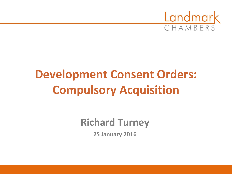

# **Development Consent Orders: Compulsory Acquisition**

**Richard Turney**

**25 January 2016**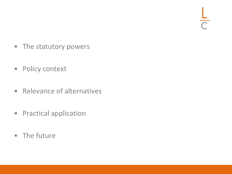$\frac{L}{C}$ 

- The statutory powers
- Policy context
- Relevance of alternatives
- Practical application
- The future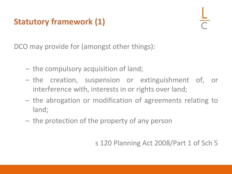# **Statutory framework (1)**

DCO may provide for (amongst other things):

- the compulsory acquisition of land;
- the creation, suspension or extinguishment of, or interference with, interests in or rights over land;
- the abrogation or modification of agreements relating to land;
- the protection of the property of any person

s 120 Planning Act 2008/Part 1 of Sch 5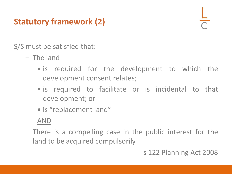# **Statutory framework (2)**

S/S must be satisfied that:

- The land
	- is required for the development to which the development consent relates;
	- is required to facilitate or is incidental to that development; or
	- is "replacement land"

#### AND

– There is a compelling case in the public interest for the land to be acquired compulsorily

#### s 122 Planning Act 2008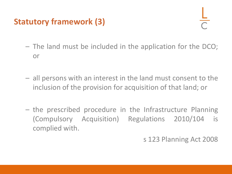# **Statutory framework (3)**

- The land must be included in the application for the DCO; or
- all persons with an interest in the land must consent to the inclusion of the provision for acquisition of that land; or
- the prescribed procedure in the Infrastructure Planning (Compulsory Acquisition) Regulations 2010/104 is complied with.

s 123 Planning Act 2008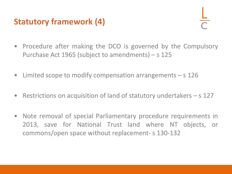### **Statutory framework (4)**

- 
- Procedure after making the DCO is governed by the Compulsory Purchase Act 1965 (subject to amendments) – s 125
- Limited scope to modify compensation arrangements s 126
- Restrictions on acquisition of land of statutory undertakers s 127
- Note removal of special Parliamentary procedure requirements in 2013, save for National Trust land where NT objects, or commons/open space without replacement- s 130-132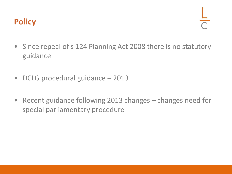#### **Policy**

- Since repeal of s 124 Planning Act 2008 there is no statutory guidance
- DCLG procedural guidance 2013
- Recent guidance following 2013 changes changes need for special parliamentary procedure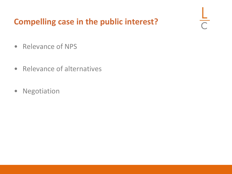# **Compelling case in the public interest?**

 $\frac{L}{C}$ 

- Relevance of NPS
- Relevance of alternatives
- Negotiation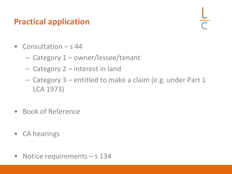### **Practical application**

- Consultation s 44
	- Category 1 owner/lessee/tenant
	- Category 2 interest in land
	- Category 3 entitled to make a claim (e.g. under Part 1 LCA 1973)
- Book of Reference
- CA hearings
- Notice requirements s 134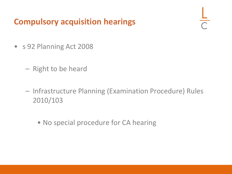#### **Compulsory acquisition hearings**

- s 92 Planning Act 2008
	- Right to be heard
	- Infrastructure Planning (Examination Procedure) Rules 2010/103
		- No special procedure for CA hearing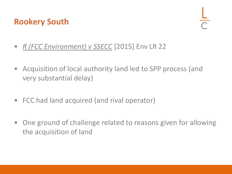#### **Rookery South**

- *R (FCC Environment) v SSECC* [2015] Env LR 22
- Acquisition of local authority land led to SPP process (and very substantial delay)
- FCC had land acquired (and rival operator)
- One ground of challenge related to reasons given for allowing the acquisition of land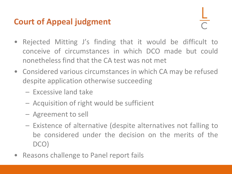# **Court of Appeal judgment**

- Rejected Mitting J's finding that it would be difficult to conceive of circumstances in which DCO made but could nonetheless find that the CA test was not met
- Considered various circumstances in which CA may be refused despite application otherwise succeeding
	- Excessive land take
	- Acquisition of right would be sufficient
	- Agreement to sell
	- Existence of alternative (despite alternatives not falling to be considered under the decision on the merits of the DCO)
- Reasons challenge to Panel report fails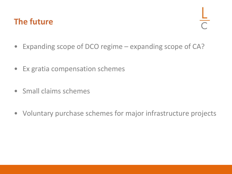#### **The future**

- Expanding scope of DCO regime expanding scope of CA?
- Ex gratia compensation schemes
- Small claims schemes
- Voluntary purchase schemes for major infrastructure projects